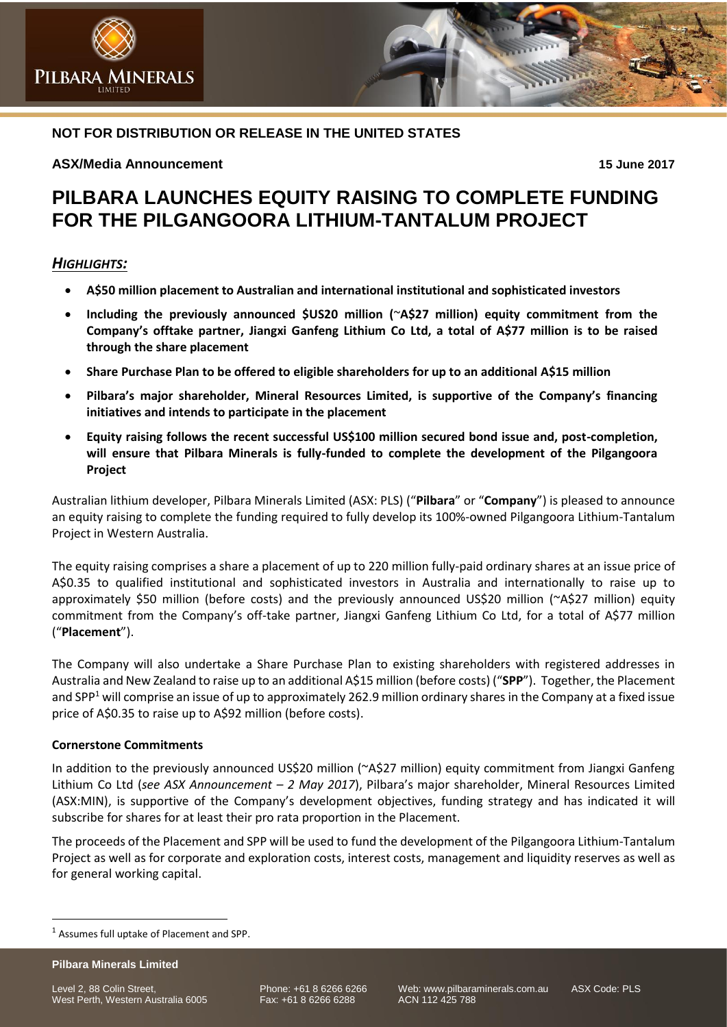# **NOT FOR DISTRIBUTION OR RELEASE IN THE UNITED STATES**

## **ASX/Media Announcement 15 June 2017**

**INERALS** 

# **PILBARA LAUNCHES EQUITY RAISING TO COMPLETE FUNDING FOR THE PILGANGOORA LITHIUM-TANTALUM PROJECT**

# *HIGHLIGHTS:*

**PILBARA** 

- **A\$50 million placement to Australian and international institutional and sophisticated investors**
- **Including the previously announced \$US20 million (**~**A\$27 million) equity commitment from the Company's offtake partner, Jiangxi Ganfeng Lithium Co Ltd, a total of A\$77 million is to be raised through the share placement**
- **Share Purchase Plan to be offered to eligible shareholders for up to an additional A\$15 million**
- **Pilbara's major shareholder, Mineral Resources Limited, is supportive of the Company's financing initiatives and intends to participate in the placement**
- **Equity raising follows the recent successful US\$100 million secured bond issue and, post-completion, will ensure that Pilbara Minerals is fully-funded to complete the development of the Pilgangoora Project**

Australian lithium developer, Pilbara Minerals Limited (ASX: PLS) ("**Pilbara**" or "**Company**") is pleased to announce an equity raising to complete the funding required to fully develop its 100%-owned Pilgangoora Lithium-Tantalum Project in Western Australia.

The equity raising comprises a share a placement of up to 220 million fully-paid ordinary shares at an issue price of A\$0.35 to qualified institutional and sophisticated investors in Australia and internationally to raise up to approximately \$50 million (before costs) and the previously announced US\$20 million (~A\$27 million) equity commitment from the Company's off-take partner, Jiangxi Ganfeng Lithium Co Ltd, for a total of A\$77 million ("**Placement**").

The Company will also undertake a Share Purchase Plan to existing shareholders with registered addresses in Australia and New Zealand to raise up to an additional A\$15 million (before costs) ("**SPP**"). Together, the Placement and SPP<sup>1</sup> will comprise an issue of up to approximately 262.9 million ordinary shares in the Company at a fixed issue price of A\$0.35 to raise up to A\$92 million (before costs).

## **Cornerstone Commitments**

In addition to the previously announced US\$20 million (~A\$27 million) equity commitment from Jiangxi Ganfeng Lithium Co Ltd (*see ASX Announcement – 2 May 2017*), Pilbara's major shareholder, Mineral Resources Limited (ASX:MIN), is supportive of the Company's development objectives, funding strategy and has indicated it will subscribe for shares for at least their pro rata proportion in the Placement.

The proceeds of the Placement and SPP will be used to fund the development of the Pilgangoora Lithium-Tantalum Project as well as for corporate and exploration costs, interest costs, management and liquidity reserves as well as for general working capital.

**Pilbara Minerals Limited**

 $\overline{a}$ 

Level 2, 88 Colin Street, <br>
West Perth, Western Australia 6005 Fax: +61 8 6266 6288 ACN 112 425 788 West Perth, Western Australia 6005

<sup>1</sup> Assumes full uptake of Placement and SPP.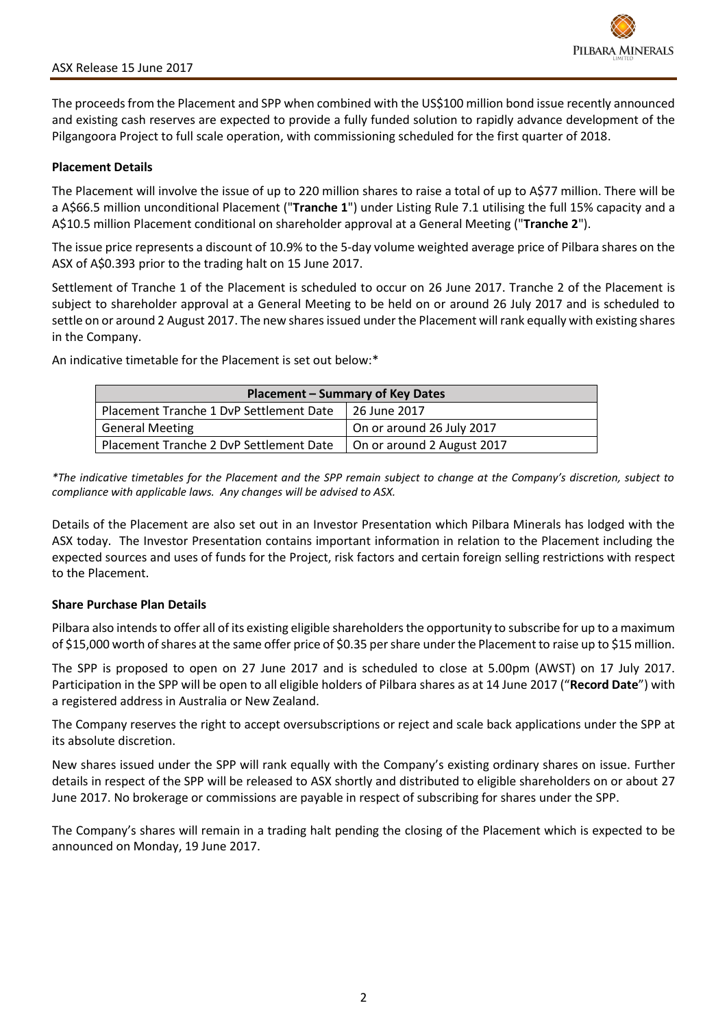The proceeds from the Placement and SPP when combined with the US\$100 million bond issue recently announced and existing cash reserves are expected to provide a fully funded solution to rapidly advance development of the Pilgangoora Project to full scale operation, with commissioning scheduled for the first quarter of 2018.

## **Placement Details**

The Placement will involve the issue of up to 220 million shares to raise a total of up to A\$77 million. There will be a A\$66.5 million unconditional Placement ("**Tranche 1**") under Listing Rule 7.1 utilising the full 15% capacity and a A\$10.5 million Placement conditional on shareholder approval at a General Meeting ("**Tranche 2**").

The issue price represents a discount of 10.9% to the 5-day volume weighted average price of Pilbara shares on the ASX of A\$0.393 prior to the trading halt on 15 June 2017.

Settlement of Tranche 1 of the Placement is scheduled to occur on 26 June 2017. Tranche 2 of the Placement is subject to shareholder approval at a General Meeting to be held on or around 26 July 2017 and is scheduled to settle on or around 2 August 2017. The new shares issued under the Placement will rank equally with existing shares in the Company.

**Placement – Summary of Key Dates**

An indicative timetable for the Placement is set out below:\*

| <b>Hacement</b> Summary of Rey Bates                                       |                                   |
|----------------------------------------------------------------------------|-----------------------------------|
| Placement Tranche 1 DvP Settlement Date   26 June 2017                     |                                   |
| <b>General Meeting</b>                                                     | $\vert$ On or around 26 July 2017 |
| Placement Tranche 2 DvP Settlement Date $\vert$ On or around 2 August 2017 |                                   |

*\*The indicative timetables for the Placement and the SPP remain subject to change at the Company's discretion, subject to compliance with applicable laws. Any changes will be advised to ASX.*

Details of the Placement are also set out in an Investor Presentation which Pilbara Minerals has lodged with the ASX today. The Investor Presentation contains important information in relation to the Placement including the expected sources and uses of funds for the Project, risk factors and certain foreign selling restrictions with respect to the Placement.

## **Share Purchase Plan Details**

Pilbara also intends to offer all of its existing eligible shareholders the opportunity to subscribe for up to a maximum of \$15,000 worth of shares at the same offer price of \$0.35 per share under the Placement to raise up to \$15 million.

The SPP is proposed to open on 27 June 2017 and is scheduled to close at 5.00pm (AWST) on 17 July 2017. Participation in the SPP will be open to all eligible holders of Pilbara shares as at 14 June 2017 ("**Record Date**") with a registered address in Australia or New Zealand.

The Company reserves the right to accept oversubscriptions or reject and scale back applications under the SPP at its absolute discretion.

New shares issued under the SPP will rank equally with the Company's existing ordinary shares on issue. Further details in respect of the SPP will be released to ASX shortly and distributed to eligible shareholders on or about 27 June 2017. No brokerage or commissions are payable in respect of subscribing for shares under the SPP.

The Company's shares will remain in a trading halt pending the closing of the Placement which is expected to be announced on Monday, 19 June 2017.